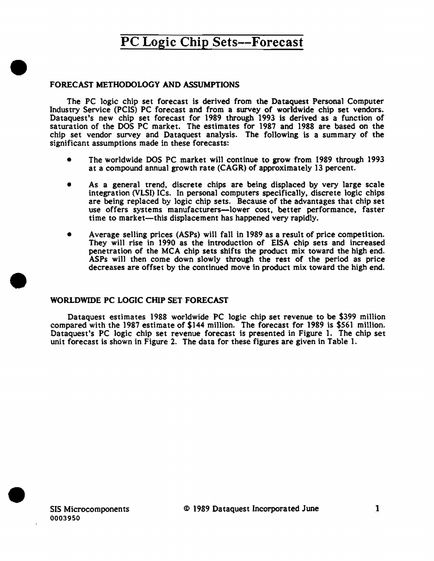#### FORECAST METHODOLOGY AND ASSUMPTIONS

•

•

The PC logic chip set forecast is derived from the Dataquest Personal Computer Industry Service (PCIS) PC forecast and from a survey of worldwide chip set vendors. Dataquest's new chip set forecast for 1989 through 1993 is derived as a function of saturation of the DOS PC market. The estimates for 1987 and 1988 are based on the chip set vendor survey and Dataquest analysis. The following is a summary of the significant assumptions made in these forecasts:

- The worldwide DOS PC market will continue to grow from 1989 through 1993 at a compound annual growth rate (CAGR) of approximately 13 percent.
- As a general trend, discrete chips are being displaced by very large scale integration (VLSI) ICs. In personal computers specifically, discrete logic chips are being replaced by logic chip sets. Because of the advantages that chip set use offers systems manufacturers-lower cost, better performance, faster time to market-this displacement has happened very rapidly.
- Average selling prices (ASPs) will fall in 1989 as a result of price competition. They will rise in 1990 as the introduction of EISA chip sets and increased penetration of the MCA chip sets shifts the product mix toward the high end. ASPs will then come down slowly through the rest of the period as price decreases are offset by the continued move in product mix toward the high end.

#### WORLDWIDE PC LOGIC CHIP SET FORECAST

Dataquest estimates 1988 worldwide PC logic chip set revenue to be \$399 million compared with the 1987 estimate of \$144 million. The forecast for 1989 is \$561 million. Dataquest's PC Jogic chip set revenue forecast is presented in Figure 1. The chip set unit forecast is shown in Figure 2. The data for these figures are given in Table 1.

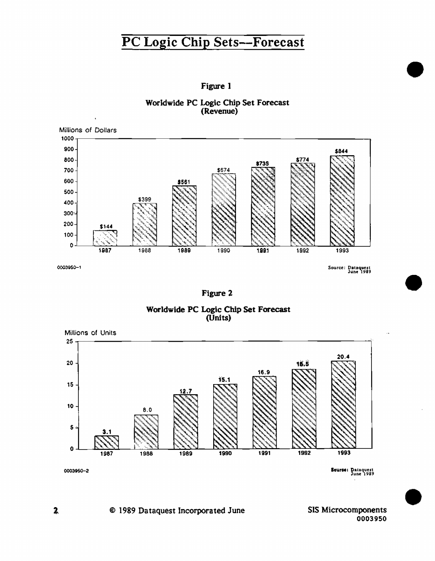





Figure 2





Sourse: Dataquest<br>June 1989

•

•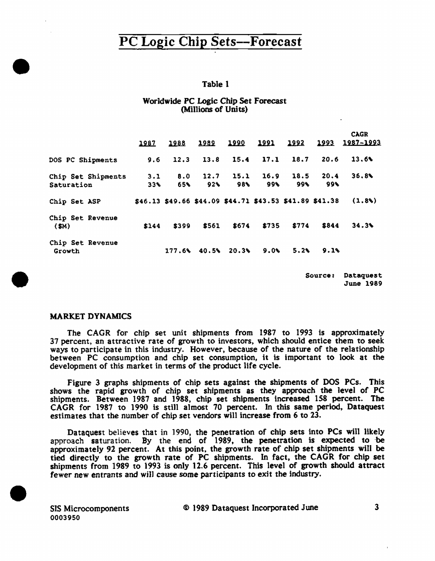#### Table 1

#### Worldwide PC Logic Chip Set Forecast (Millions of Units)

|                                  | 1987       | 1988       | 1989                      | 1990                                                    | 1991        | 1992        |             | <b>CAGR</b><br><u>1993 1987-1993</u> |
|----------------------------------|------------|------------|---------------------------|---------------------------------------------------------|-------------|-------------|-------------|--------------------------------------|
| DOS PC Shipments                 | 9.6        | 12.3       | 13.8                      | 15.4                                                    | 17.1        | 18.7        | 20.6        | 13.6%                                |
| Chip Set Shipments<br>Saturation | 3.1<br>33% | 8.0<br>65% | 12.7<br>$92$ <sup>6</sup> | 15.1<br>98%                                             | 16.9<br>99% | 18.5<br>99% | 20.4<br>99% | 36.8                                 |
| Chip Set ASP                     |            |            |                           | \$46.13 \$49.66 \$44.09 \$44.71 \$43.53 \$41.89 \$41.38 |             |             |             | (1,8)                                |
| Chip Set Revenue<br>(SM)         | \$144      | \$399      | \$561                     | \$674                                                   | \$735       | \$774       | \$844       | 34.3%                                |
| Chip Set Revenue<br>Growth       |            | 177.6      | 40.5%                     | 20.3%                                                   | $9.0\%$     | 5.2         | 9.1%        |                                      |

Source: Dataquest June 1989

#### MARKET DYNAMICS

•

•

•

The CAGR for chip set unit shipments from 1987 to 1993 is approximately 37 percent, an attractive rate of growth to investors, which should entice them to seek ways to participate in this industry. However, because of the nature of the relationship between PC consumption and chip set consumption. it is important to look at the development of this market in terms of the product life cycle.

Figure 3 graphs shipments of chip sets against the shipments of DOS PCs. This shows the rapid growth of chip set shipments as they approach the level of PC shipments. Between 1987 and 1988, chip set shipments increased 158 percent. The CAGR for 1987 to 1990 is stlll almost 70 percent. In this same period, Dataquest estimates that the number of chip set vendors will increase from 6 to 23.

Dataquest believes that in 1990, the penetration of chip sets into PCs wilt likely approach saturation. By the end of 1989, the penetration is expected to ·be approximately 92 percent. At this point, the growth rate of chip set shipments will be tied directly to the growth rate of PC shipments. In fact, the CAGR for chip set shipments from 1989 to 1993 is only 12.6 percent. This level of growth should attract fewer new entrants and will cause some participants to exit the industry.

SIS Microcomponents 0003950

© 1989 Dataquest Incorporated June 3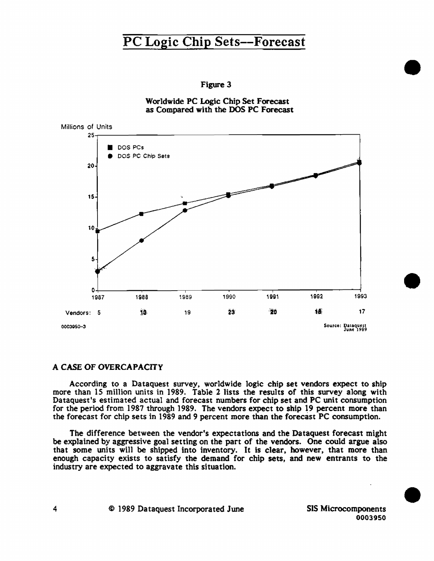

Worldwide PC Logic Chip Set Forecast as Compared with the DOS PC Forecast



#### A CASE OF OVERCAPACITY

According to a Dataquest survey. worldwide logic chip set vendors expect to ship more than 15 million units in 1989. Table 2 lists the results of this survey along with Dataquest's estimated actual and forecast numbers for chip set and PC unit consumption for the period from 1987 through 1989. The vendors expect to ship 19 percent more than the forecast for chip sets in 1989 and 9 percent more than the forecast PC consumption.

The difference between the vendor's expectations and the Dataquest forecast might be explained by aggressive goal setting on the part of the vendors. One could argue also that some units will be shipped into inventory. It is clear. however. that more than enough capacity exists to satisfy the demand for chip sets, and new entrants to the industry are expected to aggravate this situation.

•

•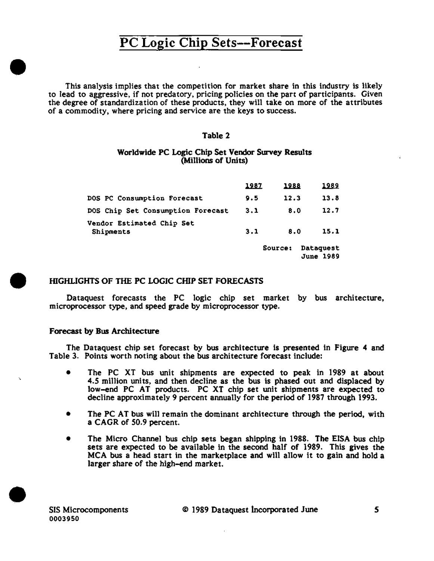This analysis implies that the competition for market share in this industry is likely to lead to aggressive, if not predatory, pricing policies on the part of participants. Given the degree of standardization of these products, they will take on more of the attributes of a commodity, where pricing and service are the keys to success.

#### Table 2

#### Worldwide PC Logic Chip Set Vendor Survey Results (Millions of Units)

|                                        | 1987 | 1988    | 1989                          |
|----------------------------------------|------|---------|-------------------------------|
| DOS PC Consumption Forecast            | 9.5  | 12.3    | 13.8                          |
| DOS Chip Set Consumption Forecast      | 3.1  | 80      | 12.7                          |
| Vendor Estimated Chip Set<br>Shipments | 3.1  | 8.0     | 15.1                          |
|                                        |      | Source: | Dataquest<br><b>June 1989</b> |

#### • IDGHUGHTS OF THE PC LOGIC CHIP SET FORECASTS

Dataquest forecasts the PC logic chip set market by bus architecture, microprocessor type, and speed grade by microprocessor type.

#### Forecast by Bus Architecture

•

The Dataquest chip set forecast by bus architecture is presented in Figure 4 and Table 3. Points worth noting about the bus architecture forecast include:

- The PC XT bus unit shipments are expected to peak in 1989 at about 4.5 million units, and then decline as the bus is phased out and displaced by low-end PC AT products. PC XT chip set unit shipments are expected to decline approximately 9 percent annually for the period of 1987 through 1993.
- The PC AT bus will remain the dominant architecture through the period, with a CAGR of 50.9 percent.
- The Micro Channel bus chip sets began shipping in 1988. The EISA bus chip sets are expected to be available in the second half of 1989. This gives the MCA bus a head start in the marketplace and will allow it to gain and hold a larger share of the high-end market.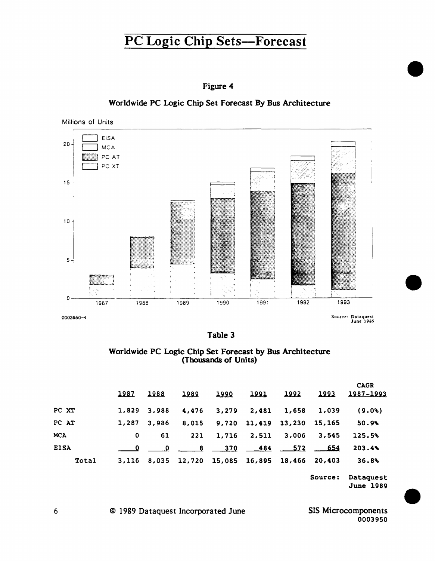

Worldwide PC Logic Chip Set Forecast By Bus Architecture



| u<br>r 11 | I |
|-----------|---|
|           |   |

Worldwide PC Logic Chip Set Forecast by Bus Architecture (Thousands of Units)

|             | 1987        | 1988  | 1989        | 1990  | 1991        | 1992                                           | 1993 | <b>CAGR</b><br>1987-1993 |
|-------------|-------------|-------|-------------|-------|-------------|------------------------------------------------|------|--------------------------|
| PC XT       | 1,829       | 3,988 | 4,476       | 3,279 | 2,481       | 1,658 1,039                                    |      | (9.0)                    |
| PC AT       | 1,287       | 3,986 | 8,015       |       |             | 9,720 11,419 13,230 15,165                     |      | 50.9%                    |
| <b>MCA</b>  | $\mathbf 0$ | 61    | 221         |       | 1,716 2,511 | 3,006 3,545                                    |      | 125.5%                   |
| <b>EISA</b> |             |       | 0 8 370 484 |       |             | 572                                            | 654  | 203.4%                   |
| Total       |             |       |             |       |             | 3,116 8,035 12,720 15,085 16,895 18,466 20,403 |      | 36.8%                    |

Source: Dataquest June 1989 •

•

•

0003950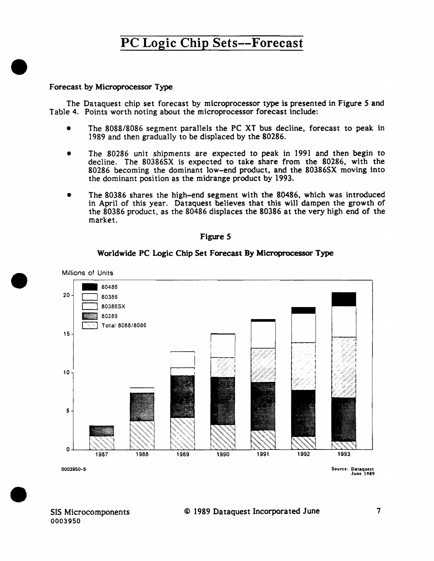#### Forecast by Microprocessor Type

•

•

•

The Dataquest chip set forecast by microprocessor type is presented in Figure *5* and Table 4. Points worth noting about the microprocessor forecast include:

- The 8088/8086 segment parallels the PC XT bus decline, forecast to peak in 1989 and then gradually to be displaced by the 80286.
- The 80286 unit shipments are expected to peak in 1991 and then begin to decline. The 80386SX is expected to take share from the 80286, with the 80286 becoming the dominant low-end product, and the 80386SX moving into the dominant position as the midrange product by 1993.
- The 80386 shares the high-end segment with the 80486, which was introduced in April of this year. Dataquest believes that this will dampen the growth of the 80386 product, as the 80486 displaces the 80386 at the very high end of the market.



#### Worldwide PC Logic Chip Set Forecast By Microprocessor Type



Sourct: Dataquest Junt 1989

SIS Microcomponents 0003950

#### © 1989 Dataquest Incorporated June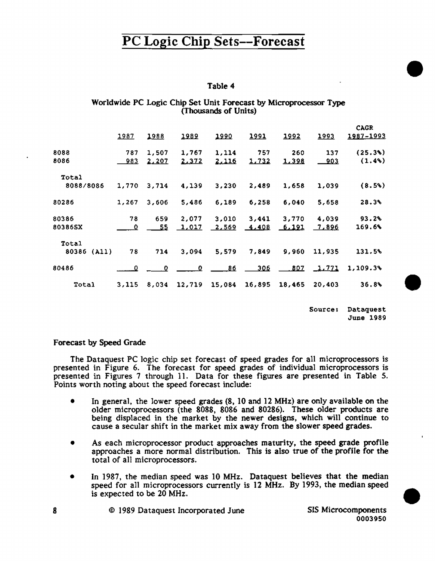#### Table 4

#### Worldwide PC Logic Chip Set Unit Forecast by Microprocessor Type (Thousands of Units)

|                |              |                         |        |        |              |              |              | <b>CAGR</b> |
|----------------|--------------|-------------------------|--------|--------|--------------|--------------|--------------|-------------|
|                | <u> 1987</u> | 1988                    | 1989   | 1990   | 1991         | 1992         | 1993         | 1987-1993   |
| 8088           | 787          | 1,507                   | 1,767  | 1,114  | 757          | 260          | 137          | (25.3)      |
| 8086           | <u>983</u>   | <u>2,207</u>            | 2.372  | 2,116  | 1,732        | <u>1,398</u> | <u>903</u>   | $(1.4\%)$   |
| Total          |              |                         |        |        |              |              |              |             |
| 8088/8086      | 1,770        | 3.714                   | 4,139  | 3,230  | 2,489        | 1,658        | 1,039        | (8.5%)      |
| 80286          | 1,267        | 3,606                   | 5,486  | 6,189  | 6,258        | 6,040        | 5,658        | 28.3%       |
| 80386          | 78           | 659                     | 2,077  | 3,010  | 3,441        | 3,770        | 4,039        | 93.2%       |
| 80386SX        | 0            | - 55                    | 1,017  | 2,569  | <u>4,408</u> | <u>6,191</u> | 7,896        | 169.6%      |
| Total          |              |                         |        |        |              |              |              |             |
| 80386<br>(A11) | 78           | 714                     | 3,094  | 5,579  | 7,849        | 9,960        | 11,935       | 131.5%      |
| 80486          | . 0.         | $\qquad \qquad \bullet$ | 0      |        | 306          | 807          | <u>1.771</u> | 1,109.3%    |
| Total          | 3,115        | 8,034                   | 12,719 | 15,084 | 16,895       | 18,465       | 20,403       | 36.8%       |

Sources Dataquest June 1989 •

•

•

#### Forecast by Speed Grade

The Dataquest PC logic chip set forecast of speed grades for all microprocessors is presented in Figure 6. The forecast for speed grades of individual microprocessors is presented in Figures 7 through 11. Data for these figures are presented in Table 5. Points worth noting about the speed forecast include:

- In general, the lower speed grades (8, 10 and 12 MHz) are only available on the older microprocessors (the 8088, 8086 and 80286). These older products are being displaced in the market by the newer designs, which will continue to cause a secular shift in the market mix away from the slower speed grades.
- As each microprocessor product approaches maturity, the speed grade profile approaches a more normal distribution. This is also true of the profile for the total of all microprocessors.
- In 1987, the median speed was 10 MHz. Dataquest believes that the median speed for all microprocessors currently is 12 MHz. By 1993, the median speed is expected to be 20 MHz.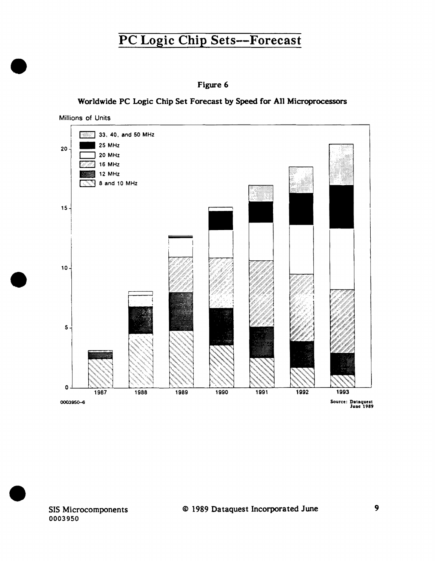

#### Worldwide PC Logic Chip Set Forecast by Speed for All Microprocessors





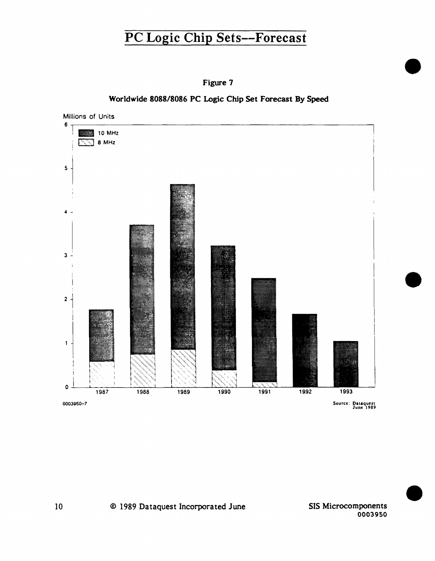

#### Worldwide 8088/8086 PC Logic Chip Set Forecast By Speed



•

•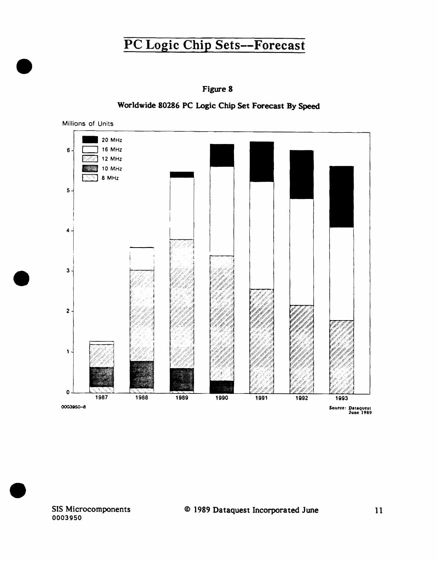

Figure 8

0003950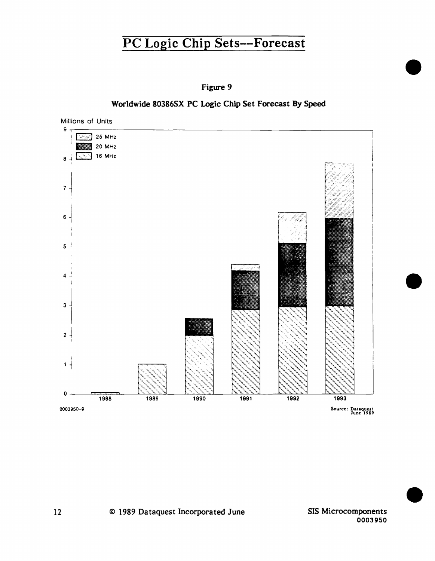

#### Worldwide 80386SX PC Logic Chip Set Forecast By Speed

Millions of Units 9..,-~~~~~~~~~~~~~~~~~~~~~~~~~~~~~~  $\boxed{25}$  25 MHz  $\frac{1}{20}$  20 MHz  $8 + \sqrt{3}$  16 MHz  $\overline{\mathbf{7}}$ 6  $5<sup>-1</sup>$  $\ddot{4}$  $\mathbf{3}$  $\overline{c}$ 1  $\bullet$ 1992 1993 1988 1989 1990 1991 0003950-9 Source: Dataquest<br>June 1989

> SIS Microcomponents 0003950

•

•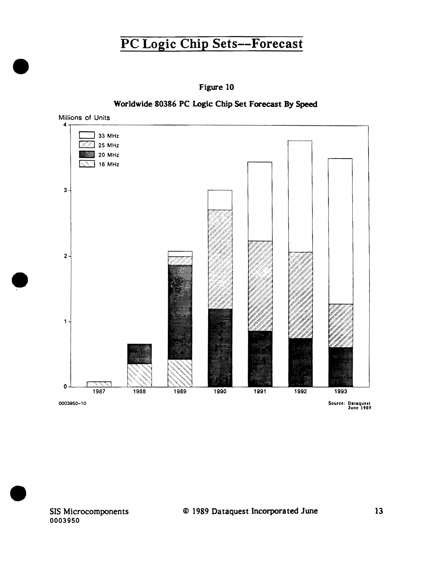

Worldwide 80386 PC Logic Chip Set Forecast By Speed

•

•



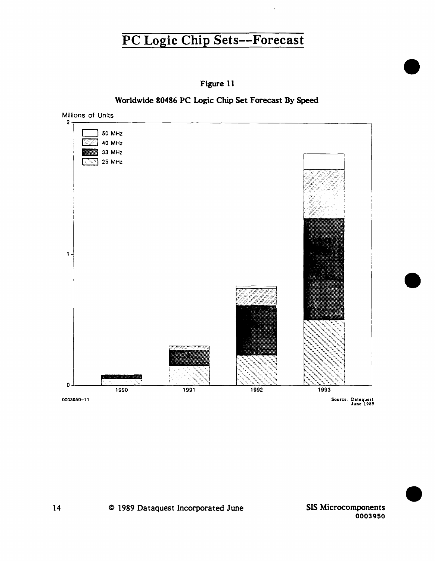

Worldwide 80486 PC Logic Chip Set Forecast By Speed



•

•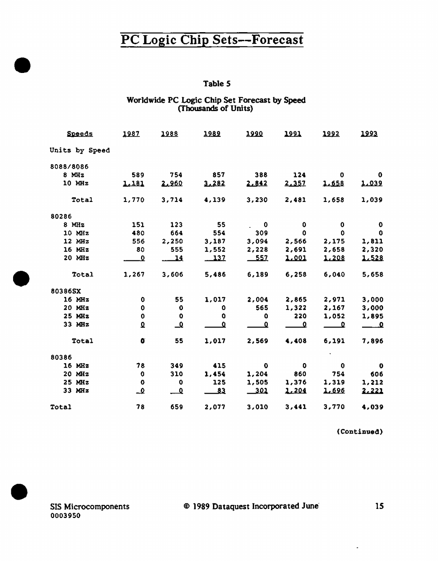#### Table 5

# Worldwide PC Logic Chip Set Forecast by Speed<br>(Thousands of Units)

| <b>Speeds</b>  | 1987         | 1988                    | 1989   | <u> 1990</u> | 1991     | 1992         | 1993        |
|----------------|--------------|-------------------------|--------|--------------|----------|--------------|-------------|
| Units by Speed |              |                         |        |              |          |              |             |
| 8088/8086      |              |                         |        |              |          |              |             |
| $8$ MHz        | 589          | 754                     | 857    | 388          | 124      | 0            | 0           |
| 10 MHz         | 1,181        | 2.960                   | 3.282  | 2.842        | 2.357    | 1.658        | 1,039       |
| Total          | 1,770        | 3,714                   | 4,139  | 3,230        | 2,481    | 1,658        | 1,039       |
| 80286          |              |                         |        |              |          |              |             |
| $8$ MHz        | 151          | 123                     | 55     | 0            | 0        | 0            | 0           |
| 10 MHz         | 480          | 664                     | 554    | 309          | $\Omega$ | $\mathbf{0}$ | 0           |
| 12 MHz         | 556          | 2,250                   | 3,187  | 3,094        | 2,566    | 2,175        | 1,811       |
| 16 MHz         | 80           | 555                     | 1,552  | 2,228        | 2,691    | 2,658        | 2,320       |
| 20 MHz         | Ω            | <u> 14</u>              | $-137$ | $-557$       | 1.001    | 1,208        | 1.528       |
| Total          | 1,267        | 3,606                   | 5,486  | 6,189        | 6,258    | 6,040        | 5,658       |
| 80386SX        |              |                         |        |              |          |              |             |
| $16$ MHz       | 0            | 55                      | 1,017  | 2,004        | 2,865    | 2,971        | 3,000       |
| 20 MHz         | $\mathbf 0$  | $\mathbf{o}$            | 0      | 565          | 1,322    | 2,167        | 3,000       |
| 25 MHz         | 0            | $\mathbf 0$             | 0      | ٥            | 220      | 1,052        | 1,895       |
| 33 MHz         | $\mathbf{Q}$ | ᅺ                       | 0      | 0            | ⊻        | ≏            | ౨           |
| <b>Total</b>   | $\bullet$    | 55                      | 1,017  | 2,569        | 4,408    | 6,191        | 7,896       |
| 80386          |              |                         |        |              |          |              |             |
| 16 MHz         | 78           | 349                     | 415    | $\bullet$    | 0        | $\mathbf 0$  | $\mathbf 0$ |
| 20 MHz         | $\mathbf 0$  | 310                     | 1,454  | 1,204        | 860      | 754          | 606         |
| $25$ MHz       | o            | 0                       | 125    | 1,505        | 1,376    | 1,319        | 1,212       |
| 33 MHz         | ݠ            | $\overline{\mathbf{c}}$ | 83     | 301          | 1.204    | 1,696        | 2.221       |
| Total          | 78           | 659                     | 2,077  | 3,010        | 3,441    | 3,770        | 4,039       |

(Continued)

 $\overline{\phantom{a}}$ 

15